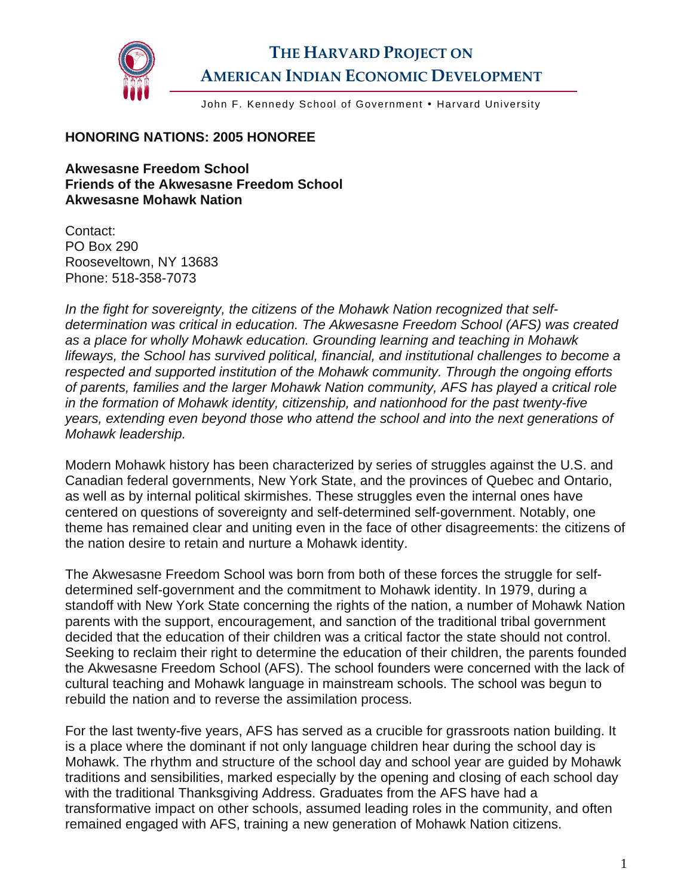

## **THE HARVARD PROJECT ON AMERICAN INDIAN ECONOMIC DEVELOPMENT**

John F. Kennedy School of Government . Harvard University

## **HONORING NATIONS: 2005 HONOREE**

**Akwesasne Freedom School Friends of the Akwesasne Freedom School Akwesasne Mohawk Nation** 

Contact: PO Box 290 Rooseveltown, NY 13683 Phone: 518-358-7073

*In the fight for sovereignty, the citizens of the Mohawk Nation recognized that selfdetermination was critical in education. The Akwesasne Freedom School (AFS) was created as a place for wholly Mohawk education. Grounding learning and teaching in Mohawk lifeways, the School has survived political, financial, and institutional challenges to become a respected and supported institution of the Mohawk community. Through the ongoing efforts of parents, families and the larger Mohawk Nation community, AFS has played a critical role in the formation of Mohawk identity, citizenship, and nationhood for the past twenty-five years, extending even beyond those who attend the school and into the next generations of Mohawk leadership.* 

Modern Mohawk history has been characterized by series of struggles against the U.S. and Canadian federal governments, New York State, and the provinces of Quebec and Ontario, as well as by internal political skirmishes. These struggles even the internal ones have centered on questions of sovereignty and self-determined self-government. Notably, one theme has remained clear and uniting even in the face of other disagreements: the citizens of the nation desire to retain and nurture a Mohawk identity.

The Akwesasne Freedom School was born from both of these forces the struggle for selfdetermined self-government and the commitment to Mohawk identity. In 1979, during a standoff with New York State concerning the rights of the nation, a number of Mohawk Nation parents with the support, encouragement, and sanction of the traditional tribal government decided that the education of their children was a critical factor the state should not control. Seeking to reclaim their right to determine the education of their children, the parents founded the Akwesasne Freedom School (AFS). The school founders were concerned with the lack of cultural teaching and Mohawk language in mainstream schools. The school was begun to rebuild the nation and to reverse the assimilation process.

For the last twenty-five years, AFS has served as a crucible for grassroots nation building. It is a place where the dominant if not only language children hear during the school day is Mohawk. The rhythm and structure of the school day and school year are guided by Mohawk traditions and sensibilities, marked especially by the opening and closing of each school day with the traditional Thanksgiving Address. Graduates from the AFS have had a transformative impact on other schools, assumed leading roles in the community, and often remained engaged with AFS, training a new generation of Mohawk Nation citizens.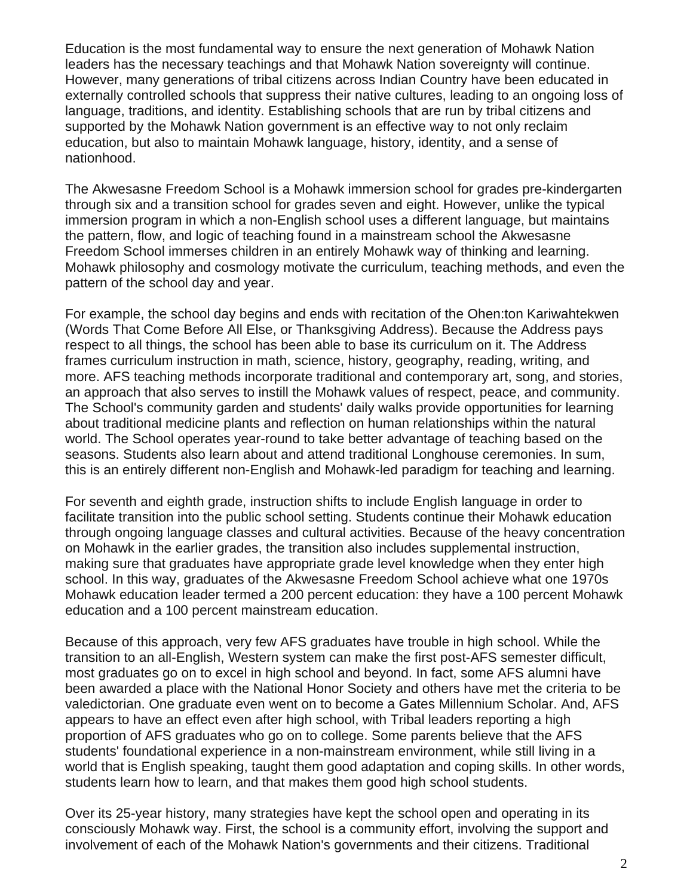Education is the most fundamental way to ensure the next generation of Mohawk Nation leaders has the necessary teachings and that Mohawk Nation sovereignty will continue. However, many generations of tribal citizens across Indian Country have been educated in externally controlled schools that suppress their native cultures, leading to an ongoing loss of language, traditions, and identity. Establishing schools that are run by tribal citizens and supported by the Mohawk Nation government is an effective way to not only reclaim education, but also to maintain Mohawk language, history, identity, and a sense of nationhood.

The Akwesasne Freedom School is a Mohawk immersion school for grades pre-kindergarten through six and a transition school for grades seven and eight. However, unlike the typical immersion program in which a non-English school uses a different language, but maintains the pattern, flow, and logic of teaching found in a mainstream school the Akwesasne Freedom School immerses children in an entirely Mohawk way of thinking and learning. Mohawk philosophy and cosmology motivate the curriculum, teaching methods, and even the pattern of the school day and year.

For example, the school day begins and ends with recitation of the Ohen:ton Kariwahtekwen (Words That Come Before All Else, or Thanksgiving Address). Because the Address pays respect to all things, the school has been able to base its curriculum on it. The Address frames curriculum instruction in math, science, history, geography, reading, writing, and more. AFS teaching methods incorporate traditional and contemporary art, song, and stories, an approach that also serves to instill the Mohawk values of respect, peace, and community. The School's community garden and students' daily walks provide opportunities for learning about traditional medicine plants and reflection on human relationships within the natural world. The School operates year-round to take better advantage of teaching based on the seasons. Students also learn about and attend traditional Longhouse ceremonies. In sum, this is an entirely different non-English and Mohawk-led paradigm for teaching and learning.

For seventh and eighth grade, instruction shifts to include English language in order to facilitate transition into the public school setting. Students continue their Mohawk education through ongoing language classes and cultural activities. Because of the heavy concentration on Mohawk in the earlier grades, the transition also includes supplemental instruction, making sure that graduates have appropriate grade level knowledge when they enter high school. In this way, graduates of the Akwesasne Freedom School achieve what one 1970s Mohawk education leader termed a 200 percent education: they have a 100 percent Mohawk education and a 100 percent mainstream education.

Because of this approach, very few AFS graduates have trouble in high school. While the transition to an all-English, Western system can make the first post-AFS semester difficult, most graduates go on to excel in high school and beyond. In fact, some AFS alumni have been awarded a place with the National Honor Society and others have met the criteria to be valedictorian. One graduate even went on to become a Gates Millennium Scholar. And, AFS appears to have an effect even after high school, with Tribal leaders reporting a high proportion of AFS graduates who go on to college. Some parents believe that the AFS students' foundational experience in a non-mainstream environment, while still living in a world that is English speaking, taught them good adaptation and coping skills. In other words, students learn how to learn, and that makes them good high school students.

Over its 25-year history, many strategies have kept the school open and operating in its consciously Mohawk way. First, the school is a community effort, involving the support and involvement of each of the Mohawk Nation's governments and their citizens. Traditional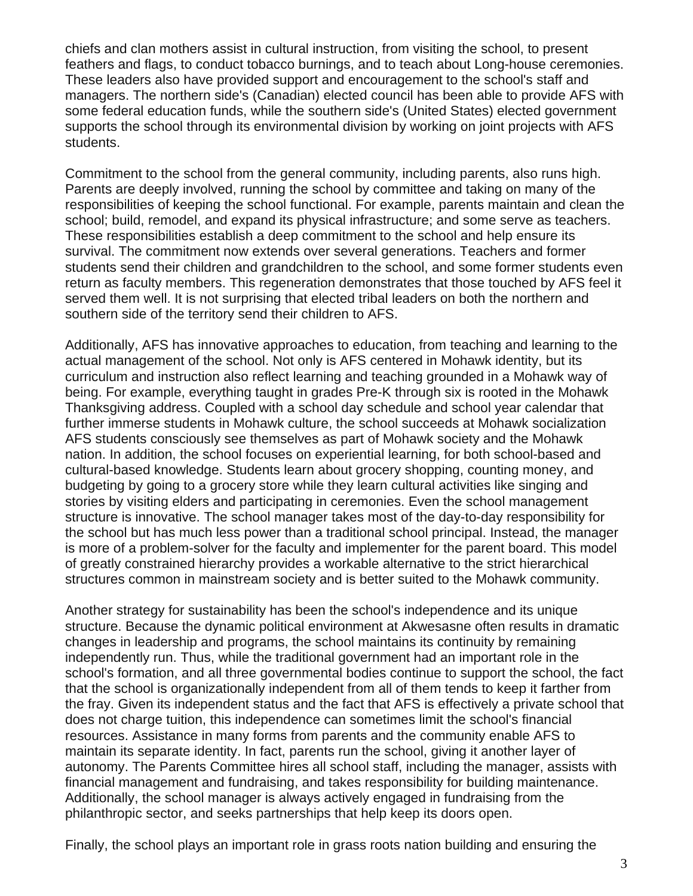chiefs and clan mothers assist in cultural instruction, from visiting the school, to present feathers and flags, to conduct tobacco burnings, and to teach about Long-house ceremonies. These leaders also have provided support and encouragement to the school's staff and managers. The northern side's (Canadian) elected council has been able to provide AFS with some federal education funds, while the southern side's (United States) elected government supports the school through its environmental division by working on joint projects with AFS students.

Commitment to the school from the general community, including parents, also runs high. Parents are deeply involved, running the school by committee and taking on many of the responsibilities of keeping the school functional. For example, parents maintain and clean the school; build, remodel, and expand its physical infrastructure; and some serve as teachers. These responsibilities establish a deep commitment to the school and help ensure its survival. The commitment now extends over several generations. Teachers and former students send their children and grandchildren to the school, and some former students even return as faculty members. This regeneration demonstrates that those touched by AFS feel it served them well. It is not surprising that elected tribal leaders on both the northern and southern side of the territory send their children to AFS.

Additionally, AFS has innovative approaches to education, from teaching and learning to the actual management of the school. Not only is AFS centered in Mohawk identity, but its curriculum and instruction also reflect learning and teaching grounded in a Mohawk way of being. For example, everything taught in grades Pre-K through six is rooted in the Mohawk Thanksgiving address. Coupled with a school day schedule and school year calendar that further immerse students in Mohawk culture, the school succeeds at Mohawk socialization AFS students consciously see themselves as part of Mohawk society and the Mohawk nation. In addition, the school focuses on experiential learning, for both school-based and cultural-based knowledge. Students learn about grocery shopping, counting money, and budgeting by going to a grocery store while they learn cultural activities like singing and stories by visiting elders and participating in ceremonies. Even the school management structure is innovative. The school manager takes most of the day-to-day responsibility for the school but has much less power than a traditional school principal. Instead, the manager is more of a problem-solver for the faculty and implementer for the parent board. This model of greatly constrained hierarchy provides a workable alternative to the strict hierarchical structures common in mainstream society and is better suited to the Mohawk community.

Another strategy for sustainability has been the school's independence and its unique structure. Because the dynamic political environment at Akwesasne often results in dramatic changes in leadership and programs, the school maintains its continuity by remaining independently run. Thus, while the traditional government had an important role in the school's formation, and all three governmental bodies continue to support the school, the fact that the school is organizationally independent from all of them tends to keep it farther from the fray. Given its independent status and the fact that AFS is effectively a private school that does not charge tuition, this independence can sometimes limit the school's financial resources. Assistance in many forms from parents and the community enable AFS to maintain its separate identity. In fact, parents run the school, giving it another layer of autonomy. The Parents Committee hires all school staff, including the manager, assists with financial management and fundraising, and takes responsibility for building maintenance. Additionally, the school manager is always actively engaged in fundraising from the philanthropic sector, and seeks partnerships that help keep its doors open.

Finally, the school plays an important role in grass roots nation building and ensuring the